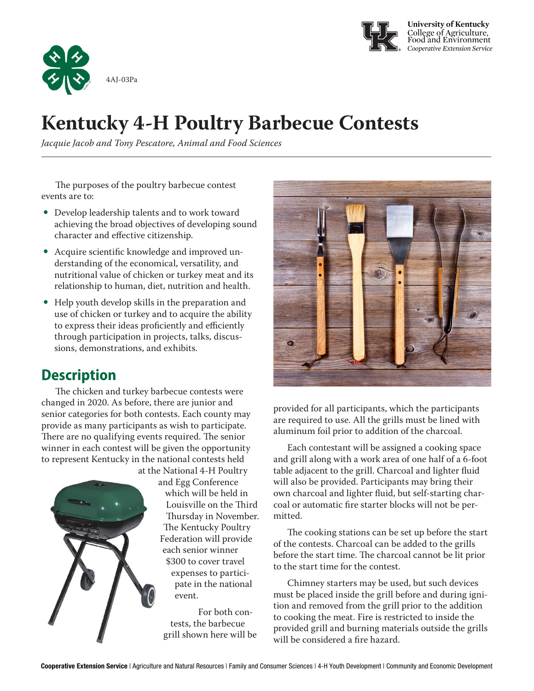



# **Kentucky 4-H Poultry Barbecue Contests**

*Jacquie Jacob and Tony Pescatore, Animal and Food Sciences*

The purposes of the poultry barbecue contest events are to:

- Develop leadership talents and to work toward achieving the broad objectives of developing sound character and effective citizenship.
- Acquire scientific knowledge and improved understanding of the economical, versatility, and nutritional value of chicken or turkey meat and its relationship to human, diet, nutrition and health.
- Help youth develop skills in the preparation and use of chicken or turkey and to acquire the ability to express their ideas proficiently and efficiently through participation in projects, talks, discussions, demonstrations, and exhibits.

## **Description**

The chicken and turkey barbecue contests were changed in 2020. As before, there are junior and senior categories for both contests. Each county may provide as many participants as wish to participate. There are no qualifying events required. The senior winner in each contest will be given the opportunity to represent Kentucky in the national contests held



at the National 4-H Poultry and Egg Conference which will be held in Louisville on the Third Thursday in November. The Kentucky Poultry Federation will provide each senior winner \$300 to cover travel expenses to participate in the national event.

> For both contests, the barbecue grill shown here will be



provided for all participants, which the participants are required to use. All the grills must be lined with aluminum foil prior to addition of the charcoal.

Each contestant will be assigned a cooking space and grill along with a work area of one half of a 6-foot table adjacent to the grill. Charcoal and lighter fluid will also be provided. Participants may bring their own charcoal and lighter fluid, but self-starting charcoal or automatic fire starter blocks will not be permitted.

The cooking stations can be set up before the start of the contests. Charcoal can be added to the grills before the start time. The charcoal cannot be lit prior to the start time for the contest.

Chimney starters may be used, but such devices must be placed inside the grill before and during ignition and removed from the grill prior to the addition to cooking the meat. Fire is restricted to inside the provided grill and burning materials outside the grills will be considered a fire hazard.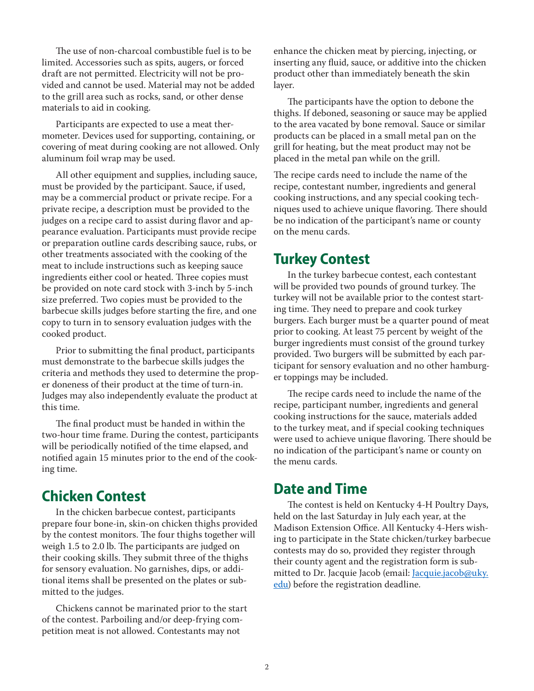The use of non-charcoal combustible fuel is to be limited. Accessories such as spits, augers, or forced draft are not permitted. Electricity will not be provided and cannot be used. Material may not be added to the grill area such as rocks, sand, or other dense materials to aid in cooking.

Participants are expected to use a meat thermometer. Devices used for supporting, containing, or covering of meat during cooking are not allowed. Only aluminum foil wrap may be used.

All other equipment and supplies, including sauce, must be provided by the participant. Sauce, if used, may be a commercial product or private recipe. For a private recipe, a description must be provided to the judges on a recipe card to assist during flavor and appearance evaluation. Participants must provide recipe or preparation outline cards describing sauce, rubs, or other treatments associated with the cooking of the meat to include instructions such as keeping sauce ingredients either cool or heated. Three copies must be provided on note card stock with 3-inch by 5-inch size preferred. Two copies must be provided to the barbecue skills judges before starting the fire, and one copy to turn in to sensory evaluation judges with the cooked product.

Prior to submitting the final product, participants must demonstrate to the barbecue skills judges the criteria and methods they used to determine the proper doneness of their product at the time of turn-in. Judges may also independently evaluate the product at this time.

The final product must be handed in within the two-hour time frame. During the contest, participants will be periodically notified of the time elapsed, and notified again 15 minutes prior to the end of the cooking time.

### **Chicken Contest**

In the chicken barbecue contest, participants prepare four bone-in, skin-on chicken thighs provided by the contest monitors. The four thighs together will weigh 1.5 to 2.0 lb. The participants are judged on their cooking skills. They submit three of the thighs for sensory evaluation. No garnishes, dips, or additional items shall be presented on the plates or submitted to the judges.

Chickens cannot be marinated prior to the start of the contest. Parboiling and/or deep-frying competition meat is not allowed. Contestants may not

enhance the chicken meat by piercing, injecting, or inserting any fluid, sauce, or additive into the chicken product other than immediately beneath the skin layer.

The participants have the option to debone the thighs. If deboned, seasoning or sauce may be applied to the area vacated by bone removal. Sauce or similar products can be placed in a small metal pan on the grill for heating, but the meat product may not be placed in the metal pan while on the grill.

The recipe cards need to include the name of the recipe, contestant number, ingredients and general cooking instructions, and any special cooking techniques used to achieve unique flavoring. There should be no indication of the participant's name or county on the menu cards.

### **Turkey Contest**

In the turkey barbecue contest, each contestant will be provided two pounds of ground turkey. The turkey will not be available prior to the contest starting time. They need to prepare and cook turkey burgers. Each burger must be a quarter pound of meat prior to cooking. At least 75 percent by weight of the burger ingredients must consist of the ground turkey provided. Two burgers will be submitted by each participant for sensory evaluation and no other hamburger toppings may be included.

The recipe cards need to include the name of the recipe, participant number, ingredients and general cooking instructions for the sauce, materials added to the turkey meat, and if special cooking techniques were used to achieve unique flavoring. There should be no indication of the participant's name or county on the menu cards.

#### **Date and Time**

The contest is held on Kentucky 4-H Poultry Days, held on the last Saturday in July each year, at the Madison Extension Office. All Kentucky 4-Hers wishing to participate in the State chicken/turkey barbecue contests may do so, provided they register through their county agent and the registration form is submitted to Dr. Jacquie Jacob (email: Jacquie.jacob@uky. edu) before the registration deadline.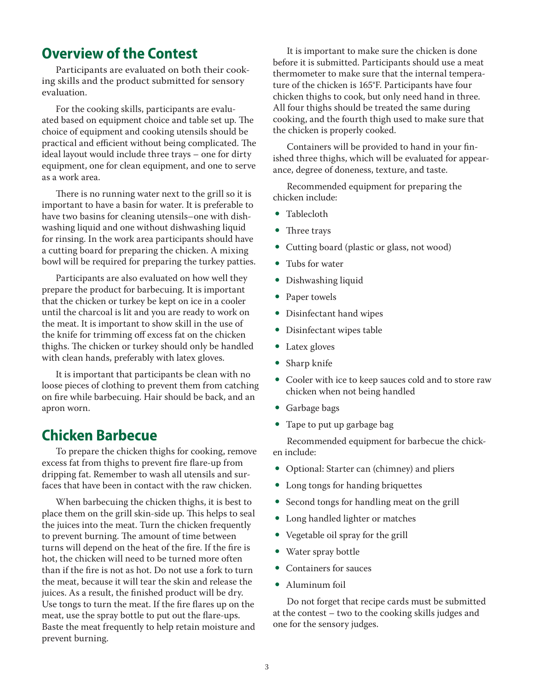### **Overview of the Contest**

Participants are evaluated on both their cooking skills and the product submitted for sensory evaluation.

For the cooking skills, participants are evaluated based on equipment choice and table set up. The choice of equipment and cooking utensils should be practical and efficient without being complicated. The ideal layout would include three trays – one for dirty equipment, one for clean equipment, and one to serve as a work area.

There is no running water next to the grill so it is important to have a basin for water. It is preferable to have two basins for cleaning utensils–one with dishwashing liquid and one without dishwashing liquid for rinsing. In the work area participants should have a cutting board for preparing the chicken. A mixing bowl will be required for preparing the turkey patties.

Participants are also evaluated on how well they prepare the product for barbecuing. It is important that the chicken or turkey be kept on ice in a cooler until the charcoal is lit and you are ready to work on the meat. It is important to show skill in the use of the knife for trimming off excess fat on the chicken thighs. The chicken or turkey should only be handled with clean hands, preferably with latex gloves.

It is important that participants be clean with no loose pieces of clothing to prevent them from catching on fire while barbecuing. Hair should be back, and an apron worn.

#### **Chicken Barbecue**

To prepare the chicken thighs for cooking, remove excess fat from thighs to prevent fire flare-up from dripping fat. Remember to wash all utensils and surfaces that have been in contact with the raw chicken.

When barbecuing the chicken thighs, it is best to place them on the grill skin-side up. This helps to seal the juices into the meat. Turn the chicken frequently to prevent burning. The amount of time between turns will depend on the heat of the fire. If the fire is hot, the chicken will need to be turned more often than if the fire is not as hot. Do not use a fork to turn the meat, because it will tear the skin and release the juices. As a result, the finished product will be dry. Use tongs to turn the meat. If the fire flares up on the meat, use the spray bottle to put out the flare-ups. Baste the meat frequently to help retain moisture and prevent burning.

It is important to make sure the chicken is done before it is submitted. Participants should use a meat thermometer to make sure that the internal temperature of the chicken is 165°F. Participants have four chicken thighs to cook, but only need hand in three. All four thighs should be treated the same during cooking, and the fourth thigh used to make sure that the chicken is properly cooked.

Containers will be provided to hand in your finished three thighs, which will be evaluated for appearance, degree of doneness, texture, and taste.

Recommended equipment for preparing the chicken include:

- Tablecloth
- Three trays
- Cutting board (plastic or glass, not wood)
- Tubs for water
- Dishwashing liquid
- Paper towels
- Disinfectant hand wipes
- Disinfectant wipes table
- $\bullet$  Latex gloves
- Sharp knife
- Cooler with ice to keep sauces cold and to store raw chicken when not being handled
- Garbage bags
- Tape to put up garbage bag

Recommended equipment for barbecue the chicken include:

- Optional: Starter can (chimney) and pliers
- Long tongs for handing briquettes
- Second tongs for handling meat on the grill
- Long handled lighter or matches
- Vegetable oil spray for the grill
- Water spray bottle
- Containers for sauces
- $\bullet$  Aluminum foil

Do not forget that recipe cards must be submitted at the contest – two to the cooking skills judges and one for the sensory judges.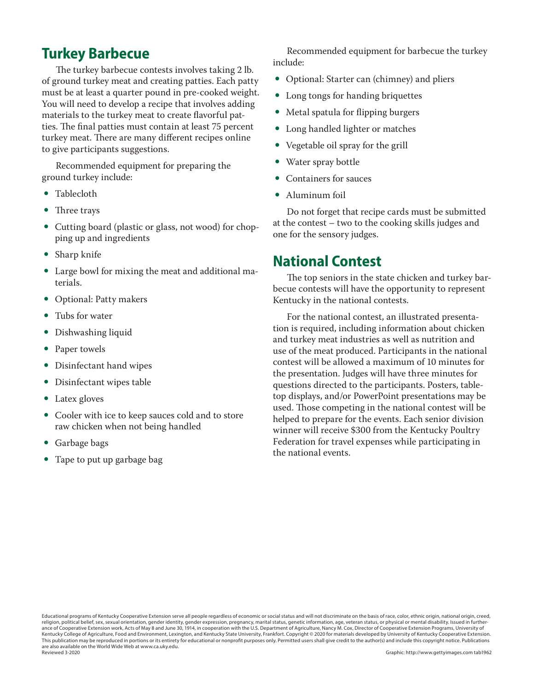### **Turkey Barbecue**

The turkey barbecue contests involves taking 2 lb. of ground turkey meat and creating patties. Each patty must be at least a quarter pound in pre-cooked weight. You will need to develop a recipe that involves adding materials to the turkey meat to create flavorful patties. The final patties must contain at least 75 percent turkey meat. There are many different recipes online to give participants suggestions.

Recommended equipment for preparing the ground turkey include:

- Tablecloth
- Three trays
- Cutting board (plastic or glass, not wood) for chopping up and ingredients
- Sharp knife
- Large bowl for mixing the meat and additional materials.
- Optional: Patty makers
- $\bullet$  Tubs for water
- Dishwashing liquid
- Paper towels
- Disinfectant hand wipes
- Disinfectant wipes table
- Latex gloves
- Cooler with ice to keep sauces cold and to store raw chicken when not being handled
- Garbage bags
- Tape to put up garbage bag

Recommended equipment for barbecue the turkey include:

- Optional: Starter can (chimney) and pliers
- Long tongs for handing briquettes
- Metal spatula for flipping burgers
- Long handled lighter or matches
- Vegetable oil spray for the grill
- Water spray bottle
- Containers for sauces
- Aluminum foil

Do not forget that recipe cards must be submitted at the contest – two to the cooking skills judges and one for the sensory judges.

#### **National Contest**

The top seniors in the state chicken and turkey barbecue contests will have the opportunity to represent Kentucky in the national contests.

For the national contest, an illustrated presentation is required, including information about chicken and turkey meat industries as well as nutrition and use of the meat produced. Participants in the national contest will be allowed a maximum of 10 minutes for the presentation. Judges will have three minutes for questions directed to the participants. Posters, tabletop displays, and/or PowerPoint presentations may be used. Those competing in the national contest will be helped to prepare for the events. Each senior division winner will receive \$300 from the Kentucky Poultry Federation for travel expenses while participating in the national events.

Educational programs of Kentucky Cooperative Extension serve all people regardless of economic or social status and will not discriminate on the basis of race, color, ethnic origin, national origin, creed, religion, political belief, sex, sexual orientation, gender identity, gender expression, pregnancy, marital status, genetic information, age, veteran status, or physical or mental disability. Issued in furtherance of Cooperative Extension work, Acts of May 8 and June 30, 1914, in cooperation with the U.S. Department of Agriculture, Nancy M. Cox, Director of Cooperative Extension Programs, University of Kentucky College of Agriculture, Food and Environment, Lexington, and Kentucky State University, Frankfort. Copyright © 2020 for materials developed by University of Kentucky Cooperative Extension. This publication may be reproduced in portions or its entirety for educational or nonprofit purposes only. Permitted users shall give credit to the author(s) and include this copyright notice. Publications are also available on the World Wide Web at www.ca.uky.edu. Reviewed 3-2020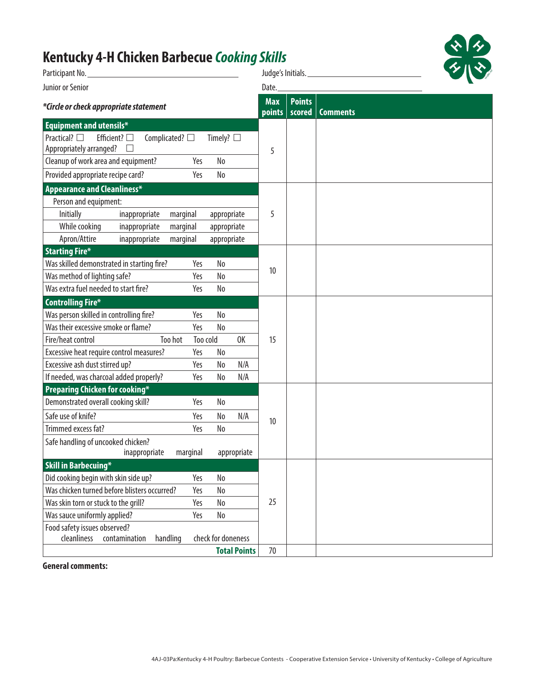# **Kentucky 4-H Chicken Barbecue** *Cooking Skills*

| Participant No.                                                                                                        |                           | Judge's Initials.       |                 |
|------------------------------------------------------------------------------------------------------------------------|---------------------------|-------------------------|-----------------|
| Junior or Senior                                                                                                       |                           |                         |                 |
| *Circle or check appropriate statement                                                                                 |                           | <b>Points</b><br>scored | <b>Comments</b> |
| <b>Equipment and utensils*</b>                                                                                         |                           |                         |                 |
| Practical? $\square$<br>Efficient? $\square$<br>Complicated? $\square$<br>Timely? $\square$<br>Appropriately arranged? | 5                         |                         |                 |
| Cleanup of work area and equipment?<br>No<br>Yes                                                                       |                           |                         |                 |
| Provided appropriate recipe card?<br>No<br>Yes                                                                         |                           |                         |                 |
| <b>Appearance and Cleanliness*</b>                                                                                     |                           |                         |                 |
| Person and equipment:                                                                                                  |                           |                         |                 |
| Initially<br>inappropriate<br>marginal<br>appropriate                                                                  | 5                         |                         |                 |
| While cooking<br>inappropriate<br>marginal<br>appropriate                                                              |                           |                         |                 |
| Apron/Attire<br>inappropriate<br>marginal<br>appropriate                                                               |                           |                         |                 |
| <b>Starting Fire*</b>                                                                                                  |                           |                         |                 |
| Was skilled demonstrated in starting fire?<br>No<br>Yes                                                                | 10                        |                         |                 |
| Was method of lighting safe?<br>Yes<br>No                                                                              |                           |                         |                 |
| Was extra fuel needed to start fire?<br>Yes<br>No                                                                      |                           |                         |                 |
| <b>Controlling Fire*</b>                                                                                               |                           |                         |                 |
| Was person skilled in controlling fire?<br>Yes<br>No                                                                   |                           |                         |                 |
| Was their excessive smoke or flame?<br>Yes<br>No                                                                       |                           |                         |                 |
| Fire/heat control<br>Too hot<br>Too cold                                                                               | 0K<br>15                  |                         |                 |
| Excessive heat require control measures?<br>Yes<br>No                                                                  |                           |                         |                 |
| Excessive ash dust stirred up?<br>Yes<br>No                                                                            | N/A                       |                         |                 |
| If needed, was charcoal added properly?<br>Yes<br>No                                                                   | N/A                       |                         |                 |
| Preparing Chicken for cooking*                                                                                         |                           |                         |                 |
| Demonstrated overall cooking skill?<br>Yes<br>No                                                                       |                           |                         |                 |
| Safe use of knife?<br>Yes<br>No                                                                                        | N/A<br>10                 |                         |                 |
| Trimmed excess fat?<br>Yes<br>No                                                                                       |                           |                         |                 |
| Safe handling of uncooked chicken?                                                                                     |                           |                         |                 |
| inappropriate<br>marginal                                                                                              | appropriate               |                         |                 |
| <b>Skill in Barbecuing*</b>                                                                                            |                           |                         |                 |
| Did cooking begin with skin side up?<br>Yes<br>No                                                                      |                           |                         |                 |
| Was chicken turned before blisters occurred?<br>No<br>Yes                                                              | 25                        |                         |                 |
| Was skin torn or stuck to the grill?<br>Yes<br>No                                                                      |                           |                         |                 |
| Was sauce uniformly applied?<br>No<br>Yes                                                                              |                           |                         |                 |
| Food safety issues observed?<br>check for doneness<br>cleanliness                                                      |                           |                         |                 |
| handling<br>contamination                                                                                              | <b>Total Points</b><br>70 |                         |                 |
|                                                                                                                        |                           |                         |                 |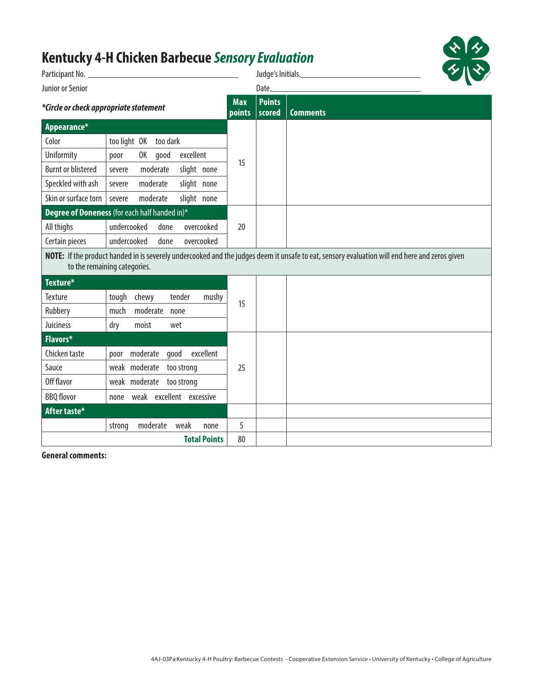# **Kentucky 4-H Chicken Barbecue** *Sensory Evaluation*

|                                        |                                               |                      |                         | $\bm{\gamma}$<br>Judge's Initials.                                                                                                            |
|----------------------------------------|-----------------------------------------------|----------------------|-------------------------|-----------------------------------------------------------------------------------------------------------------------------------------------|
| Junior or Senior                       |                                               |                      |                         |                                                                                                                                               |
| *Circle or check appropriate statement |                                               | <b>Max</b><br>points | <b>Points</b><br>scored | <b>Comments</b>                                                                                                                               |
| Appearance*                            |                                               |                      |                         |                                                                                                                                               |
| Color                                  | too light OK too dark                         |                      |                         |                                                                                                                                               |
| Uniformity                             | excellent<br>OK good<br>poor                  | 15                   |                         |                                                                                                                                               |
| <b>Burnt or blistered</b>              | moderate<br>slight none<br>severe             |                      |                         |                                                                                                                                               |
| Speckled with ash                      | slight none<br>moderate<br>severe             |                      |                         |                                                                                                                                               |
| Skin or surface torn                   | slight none<br>moderate<br>severe             |                      |                         |                                                                                                                                               |
|                                        | Degree of Doneness (for each half handed in)* |                      |                         |                                                                                                                                               |
| All thighs                             | undercooked<br>overcooked<br>done             | 20                   |                         |                                                                                                                                               |
| Certain pieces                         | undercooked<br>done<br>overcooked             |                      |                         |                                                                                                                                               |
|                                        | to the remaining categories.                  |                      |                         | NOTE: If the product handed in is severely undercooked and the judges deem it unsafe to eat, sensory evaluation will end here and zeros given |
| Texture*                               |                                               |                      |                         |                                                                                                                                               |
| Texture                                | tough chewy<br>tender<br>mushy                | 15                   |                         |                                                                                                                                               |
| Rubbery                                | moderate<br>much<br>none                      |                      |                         |                                                                                                                                               |
| Juiciness                              | moist<br>dry<br>wet                           |                      |                         |                                                                                                                                               |
| Flavors*                               |                                               |                      |                         |                                                                                                                                               |
| Chicken taste                          | poor moderate good<br>excellent               |                      |                         |                                                                                                                                               |
| Sauce                                  | weak moderate too strong                      | 25                   |                         |                                                                                                                                               |
| Off flavor                             | weak moderate too strong                      |                      |                         |                                                                                                                                               |
| <b>BBQ</b> flovor                      | weak excellent excessive<br>none              |                      |                         |                                                                                                                                               |
| After taste*                           |                                               |                      |                         |                                                                                                                                               |
|                                        | moderate<br>weak<br>strong<br>none            | 5                    |                         |                                                                                                                                               |
|                                        | <b>Total Points</b>                           | 80                   |                         |                                                                                                                                               |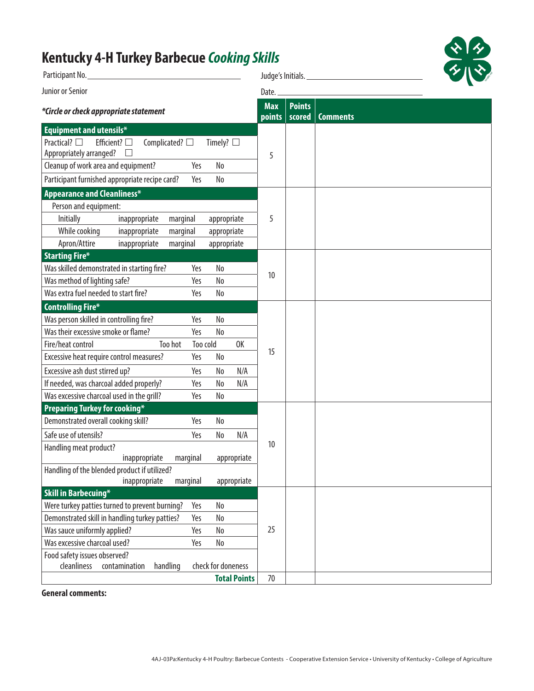# **Kentucky 4-H Turkey Barbecue** *Cooking Skills*

| Participant No.                                                                                                                  |                      | Judge's Initials.       |                 |  |
|----------------------------------------------------------------------------------------------------------------------------------|----------------------|-------------------------|-----------------|--|
| Junior or Senior                                                                                                                 |                      | Date.                   |                 |  |
| *Circle or check appropriate statement                                                                                           | <b>Max</b><br>points | <b>Points</b><br>scored | <b>Comments</b> |  |
| <b>Equipment and utensils*</b>                                                                                                   |                      |                         |                 |  |
| Efficient? $\square$<br>Practical? $\square$<br>Complicated? $\square$<br>Timely? $\square$<br>Appropriately arranged?<br>$\Box$ | 5                    |                         |                 |  |
| Cleanup of work area and equipment?<br>Yes<br>No                                                                                 |                      |                         |                 |  |
| Participant furnished appropriate recipe card?<br>No<br>Yes                                                                      |                      |                         |                 |  |
| <b>Appearance and Cleanliness*</b>                                                                                               |                      |                         |                 |  |
| Person and equipment:                                                                                                            |                      |                         |                 |  |
| Initially<br>inappropriate<br>marginal<br>appropriate                                                                            | 5                    |                         |                 |  |
| While cooking<br>inappropriate<br>appropriate<br>marginal                                                                        |                      |                         |                 |  |
| Apron/Attire<br>inappropriate<br>marginal<br>appropriate                                                                         |                      |                         |                 |  |
| <b>Starting Fire*</b>                                                                                                            |                      |                         |                 |  |
| Was skilled demonstrated in starting fire?<br>Yes<br>No                                                                          | 10                   |                         |                 |  |
| Was method of lighting safe?<br>Yes<br>No                                                                                        |                      |                         |                 |  |
| Was extra fuel needed to start fire?<br>Yes<br>No                                                                                |                      |                         |                 |  |
| <b>Controlling Fire*</b>                                                                                                         |                      |                         |                 |  |
| Was person skilled in controlling fire?<br>No<br>Yes                                                                             |                      |                         |                 |  |
| Was their excessive smoke or flame?<br>Yes<br>No                                                                                 |                      |                         |                 |  |
| Fire/heat control<br>Too hot<br>Too cold                                                                                         | 0K<br>15             |                         |                 |  |
| Excessive heat require control measures?<br>Yes<br>No                                                                            |                      |                         |                 |  |
| Excessive ash dust stirred up?<br>Yes<br>No                                                                                      | N/A                  |                         |                 |  |
| If needed, was charcoal added properly?<br>Yes<br>No                                                                             | N/A                  |                         |                 |  |
| Was excessive charcoal used in the grill?<br>Yes<br>No                                                                           |                      |                         |                 |  |
| <b>Preparing Turkey for cooking*</b>                                                                                             |                      |                         |                 |  |
| Demonstrated overall cooking skill?<br>Yes<br>No                                                                                 |                      |                         |                 |  |
| Safe use of utensils?<br>Yes<br>No                                                                                               | N/A                  |                         |                 |  |
| Handling meat product?<br>inappropriate<br>marginal<br>appropriate                                                               | 10                   |                         |                 |  |
| Handling of the blended product if utilized?                                                                                     |                      |                         |                 |  |
| inappropriate<br>marginal<br>appropriate                                                                                         |                      |                         |                 |  |
| <b>Skill in Barbecuing*</b>                                                                                                      |                      |                         |                 |  |
| Were turkey patties turned to prevent burning?<br>Yes<br>No                                                                      |                      |                         |                 |  |
| Demonstrated skill in handling turkey patties?<br>Yes<br>No                                                                      |                      |                         |                 |  |
| Was sauce uniformly applied?<br>Yes<br>No                                                                                        | 25                   |                         |                 |  |
| Was excessive charcoal used?<br>No<br>Yes                                                                                        |                      |                         |                 |  |
| Food safety issues observed?<br>check for doneness<br>cleanliness<br>contamination<br>handling                                   |                      |                         |                 |  |
| <b>Total Points</b>                                                                                                              | 70                   |                         |                 |  |
|                                                                                                                                  |                      |                         |                 |  |

 $\mathbf{R}$ 

 $\boldsymbol{\gamma}$